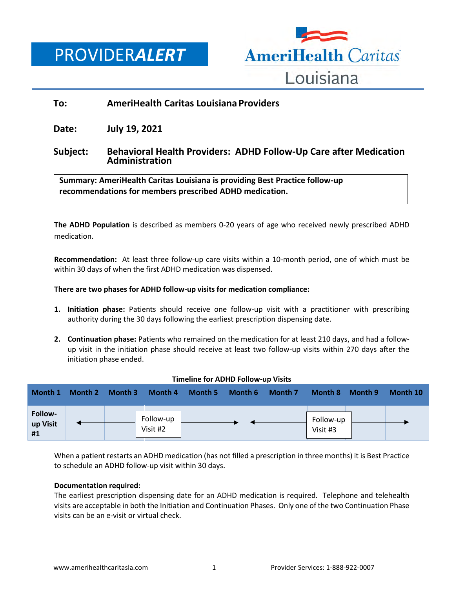PROVIDER*ALERT*



# **To: AmeriHealth Caritas Louisiana Providers**

**Date: July 19, 2021**

## **Subject: Behavioral Health Providers: ADHD Follow-Up Care after Medication Administration**

**Summary: AmeriHealth Caritas Louisiana is providing Best Practice follow-up recommendations for members prescribed ADHD medication.**

**The ADHD Population** is described as members 0-20 years of age who received newly prescribed ADHD medication.

**Recommendation:** At least three follow-up care visits within a 10-month period, one of which must be within 30 days of when the first ADHD medication was dispensed.

## **There are two phases for ADHD follow-up visits for medication compliance:**

- **1. Initiation phase:** Patients should receive one follow-up visit with a practitioner with prescribing authority during the 30 days following the earliest prescription dispensing date.
- **2. Continuation phase:** Patients who remained on the medication for at least 210 days, and had a followup visit in the initiation phase should receive at least two follow-up visits within 270 days after the initiation phase ended.

| Month 1                   | Month 2 | Month 3 | Month 4               | Month 5 | Month 6 | Month 7 | Month 8               | Month 9 | Month 10 |
|---------------------------|---------|---------|-----------------------|---------|---------|---------|-----------------------|---------|----------|
| Follow-<br>up Visit<br>#1 |         |         | Follow-up<br>Visit #2 |         |         |         | Follow-up<br>Visit #3 |         |          |

#### **Timeline for ADHD Follow-up Visits**

When a patient restarts an ADHD medication (has not filled a prescription in three months) it is Best Practice to schedule an ADHD follow-up visit within 30 days.

#### **Documentation required:**

The earliest prescription dispensing date for an ADHD medication is required. Telephone and telehealth visits are acceptable in both the Initiation and Continuation Phases. Only one of the two Continuation Phase visits can be an e-visit or virtual check.